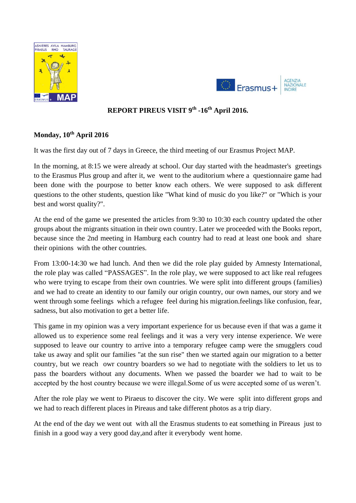



### **REPORT PIREUS VISIT 9 th -16th April 2016.**

#### **Monday, 10th April 2016**

It was the first day out of 7 days in Greece, the third meeting of our Erasmus Project MAP.

In the morning, at 8:15 we were already at school. Our day started with the headmaster's greetings to the Erasmus Plus group and after it, we went to the auditorium where a questionnaire game had been done with the pourpose to better know each others. We were supposed to ask different questions to the other students, question like "What kind of music do you like?" or "Which is your best and worst quality?".

At the end of the game we presented the articles from 9:30 to 10:30 each country updated the other groups about the migrants situation in their own country. Later we proceeded with the Books report, because since the 2nd meeting in Hamburg each country had to read at least one book and share their opinions with the other countries.

From 13:00-14:30 we had lunch. And then we did the role play guided by Amnesty International, the role play was called "PASSAGES". In the role play, we were supposed to act like real refugees who were trying to escape from their own countries. We were split into different groups (families) and we had to create an identity to our family our origin country, our own names, our story and we went through some feelings which a refugee feel during his migration.feelings like confusion, fear, sadness, but also motivation to get a better life.

This game in my opinion was a very important experience for us because even if that was a game it allowed us to experience some real feelings and it was a very very intense experience. We were supposed to leave our country to arrive into a temporary refugee camp were the smugglers coud take us away and split our families "at the sun rise" then we started again our migration to a better country, but we reach owr country boarders so we had to negotiate with the soldiers to let us to pass the boarders without any documents. When we passed the boarder we had to wait to be accepted by the host country because we were illegal.Some of us were accepted some of us weren't.

After the role play we went to Piraeus to discover the city. We were split into different grops and we had to reach different places in Pireaus and take different photos as a trip diary.

At the end of the day we went out with all the Erasmus students to eat something in Pireaus just to finish in a good way a very good day,and after it everybody went home.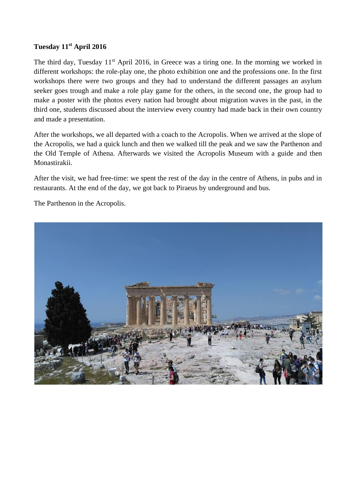#### **Tuesday 11st April 2016**

The third day, Tuesday 11<sup>st</sup> April 2016, in Greece was a tiring one. In the morning we worked in different workshops: the role-play one, the photo exhibition one and the professions one. In the first workshops there were two groups and they had to understand the different passages an asylum seeker goes trough and make a role play game for the others, in the second one, the group had to make a poster with the photos every nation had brought about migration waves in the past, in the third one, students discussed about the interview every country had made back in their own country and made a presentation.

After the workshops, we all departed with a coach to the Acropolis. When we arrived at the slope of the Acropolis, we had a quick lunch and then we walked till the peak and we saw the Parthenon and the Old Temple of Athena. Afterwards we visited the Acropolis Museum with a guide and then Monastirakii.

After the visit, we had free-time: we spent the rest of the day in the centre of Athens, in pubs and in restaurants. At the end of the day, we got back to Piraeus by underground and bus.

The Parthenon in the Acropolis.

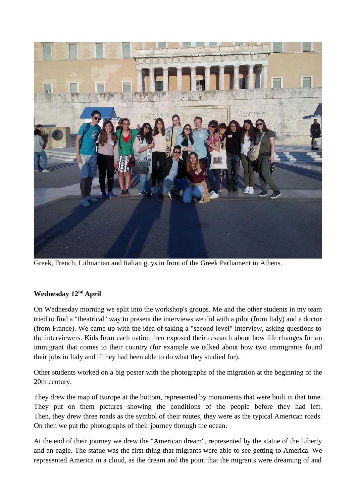

Greek, French, Lithuanian and Italian guys in front of the Greek Parliament in Athens.

## **Wednesday 12nd April**

On Wednesday morning we split into the workshop's groups. Me and the other students in my team tried to find a "theatrical" way to present the interviews we did with a pilot (from Italy) and a doctor (from France). We came up with the idea of taking a "second level" interview, asking questions to the interviewers. Kids from each nation then exposed their research about how life changes for an immigrant that comes to their country (for example we talked about how two immigrants found their jobs in Italy and if they had been able to do what they studied for).

Other students worked on a big poster with the photographs of the migration at the beginning of the 20th century.

They drew the map of Europe at the bottom, represented by monuments that were built in that time. They put on them pictures showing the conditions of the people before they had left. Then, they drew three roads as the symbol of their routes, they were as the typical American roads. On then we put the photographs of their journey through the ocean.

At the end of their journey we drew the "American dream", represented by the statue of the Liberty and an eagle. The statue was the first thing that migrants were able to see getting to America. We represented America in a cloud, as the dream and the point that the migrants were dreaming of and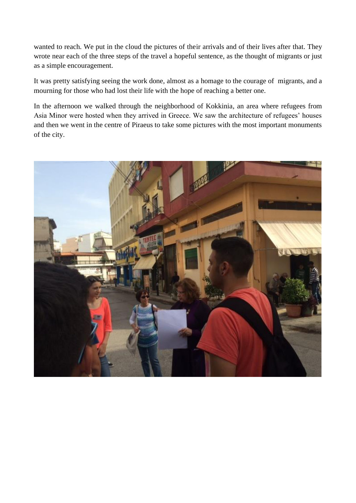wanted to reach. We put in the cloud the pictures of their arrivals and of their lives after that. They wrote near each of the three steps of the travel a hopeful sentence, as the thought of migrants or just as a simple encouragement.

It was pretty satisfying seeing the work done, almost as a homage to the courage of migrants, and a mourning for those who had lost their life with the hope of reaching a better one.

In the afternoon we walked through the neighborhood of Kokkinia, an area where refugees from Asia Minor were hosted when they arrived in Greece. We saw the architecture of refugees' houses and then we went in the centre of Piraeus to take some pictures with the most important monuments of the city.

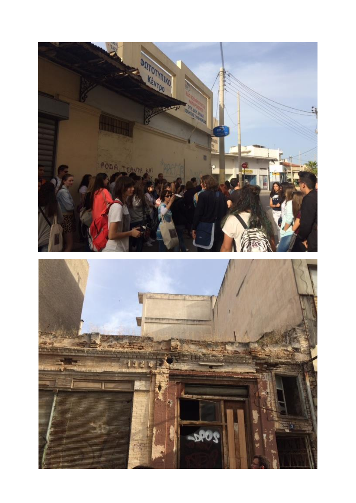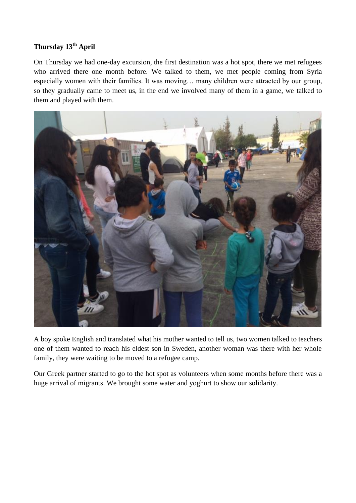## **Thursday 13th April**

On Thursday we had one-day excursion, the first destination was a hot spot, there we met refugees who arrived there one month before. We talked to them, we met people coming from Syria especially women with their families. It was moving… many children were attracted by our group, so they gradually came to meet us, in the end we involved many of them in a game, we talked to them and played with them.



A boy spoke English and translated what his mother wanted to tell us, two women talked to teachers one of them wanted to reach his eldest son in Sweden, another woman was there with her whole family, they were waiting to be moved to a refugee camp.

Our Greek partner started to go to the hot spot as volunteers when some months before there was a huge arrival of migrants. We brought some water and yoghurt to show our solidarity.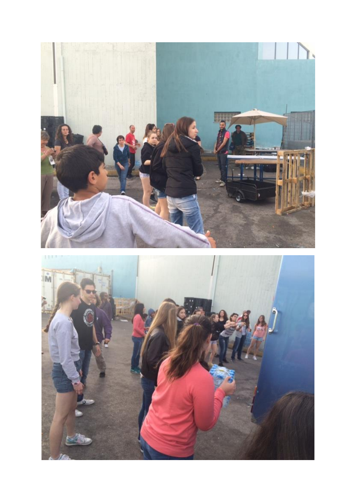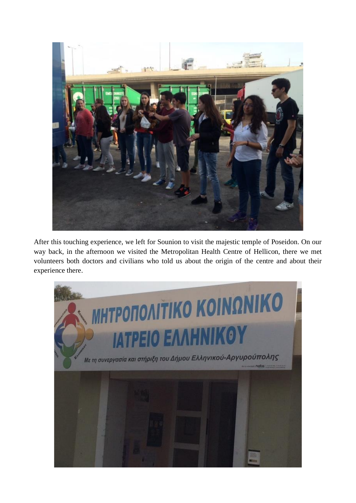

After this touching experience, we left for Sounion to visit the majestic temple of Poseidon. On our way back, in the afternoon we visited the Metropolitan Health Centre of Hellicon, there we met volunteers both doctors and civilians who told us about the origin of the centre and about their experience there.

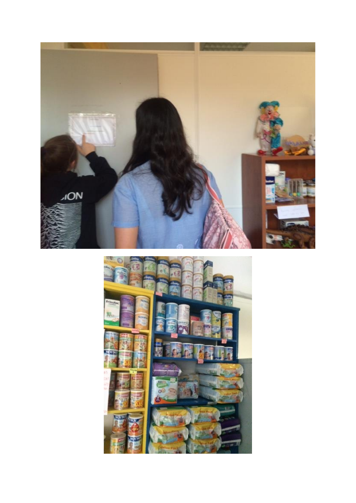